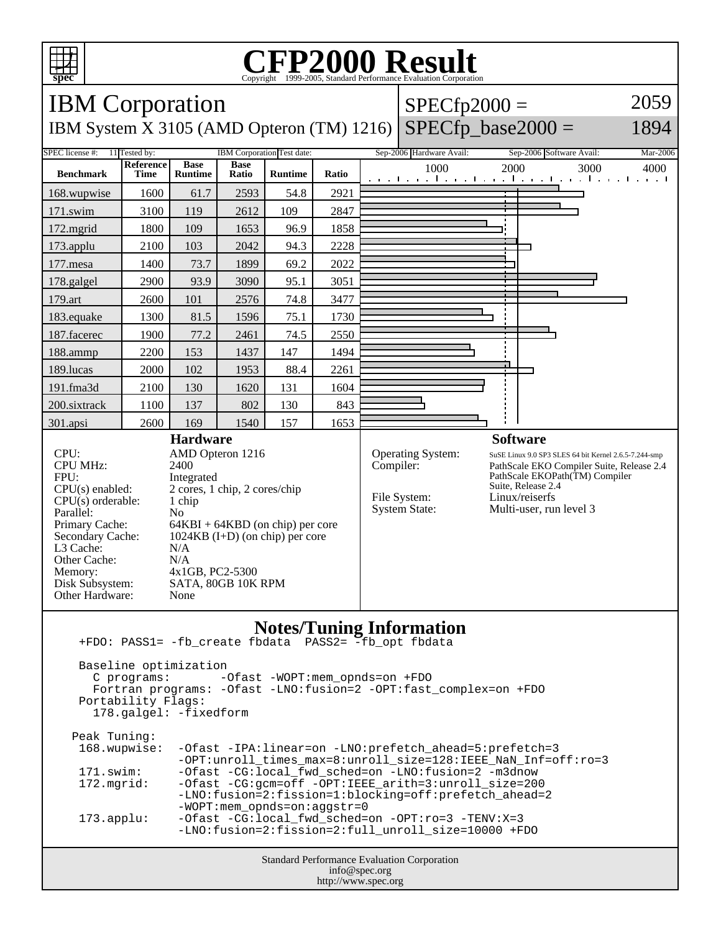

## **CFP2000 Result** Copyright ©1999-2005, Standard I



 Portability Flags: 178.galgel: -fixedform

| Peak Tuning:        |                                                                   |
|---------------------|-------------------------------------------------------------------|
| 168.wupwise:        | -Ofast -IPA:linear=on -LNO:prefetch_ahead=5:prefetch=3            |
|                     | -OPT: unroll times max=8: unroll size=128: IEEE NaN Inf=off: ro=3 |
| 171.swim:           | -Ofast -CG:local fwd sched=on -LNO:fusion=2 -m3dnow               |
| 172.mqrid:          | -Ofast -CG:qcm=off -OPT:IEEE arith=3:unroll size=200              |
|                     | -LNO:fusion=2:fission=1:blocking=off:prefetch ahead=2             |
|                     | $-WOPT:$ mem opnds=on:aqqstr=0                                    |
| $173.\text{applu}:$ | -Ofast -CG:local_fwd_sched=on -OPT:ro=3 -TENV:X=3                 |
|                     | -LNO:fusion=2:fission=2:full unroll size=10000 +FDO               |
|                     |                                                                   |

Standard Performance Evaluation Corporation info@spec.org http://www.spec.org